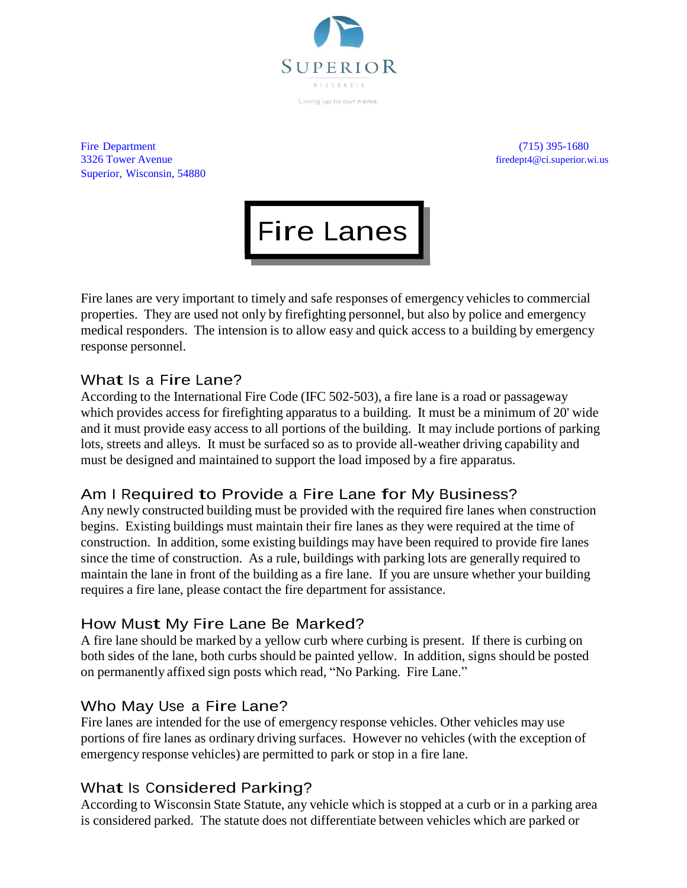

Living up to our name

Fire Department (715) 395-1680 3326 Tower Avenue firedept4@ci.superior.wi.us Superior, Wisconsin, 54880



Fire lanes are very important to timely and safe responses of emergency vehicles to commercial properties. They are used not only by firefighting personnel, but also by police and emergency medical responders. The intension is to allow easy and quick access to a building by emergency response personnel.

# What Is <sup>a</sup> Fire Lane?

According to the International Fire Code (IFC 502-503), a fire lane is a road or passageway which provides access for firefighting apparatus to a building. It must be a minimum of 20' wide and it must provide easy access to all portions of the building. It may include portions of parking lots, streets and alleys. It must be surfaced so as to provide all-weather driving capability and must be designed and maintained to support the load imposed by a fire apparatus.

# Am <sup>I</sup> Required to Provide <sup>a</sup> Fire Lane for My Business?

Any newly constructed building must be provided with the required fire lanes when construction begins. Existing buildings must maintain their fire lanes as they were required at the time of construction. In addition, some existing buildings may have been required to provide fire lanes since the time of construction. As a rule, buildings with parking lots are generally required to maintain the lane in front of the building as a fire lane. If you are unsure whether your building requires a fire lane, please contact the fire department for assistance.

### How Must My Fire Lane Be Marked?

A fire lane should be marked by a yellow curb where curbing is present. If there is curbing on both sides of the lane, both curbs should be painted yellow. In addition, signs should be posted on permanently affixed sign posts which read, "No Parking. Fire Lane."

### Who May Use <sup>a</sup> Fire Lane?

Fire lanes are intended for the use of emergency response vehicles. Other vehicles may use portions of fire lanes as ordinary driving surfaces. However no vehicles (with the exception of emergency response vehicles) are permitted to park or stop in a fire lane.

# What Is Considered Parking?

According to Wisconsin State Statute, any vehicle which is stopped at a curb or in a parking area is considered parked. The statute does not differentiate between vehicles which are parked or